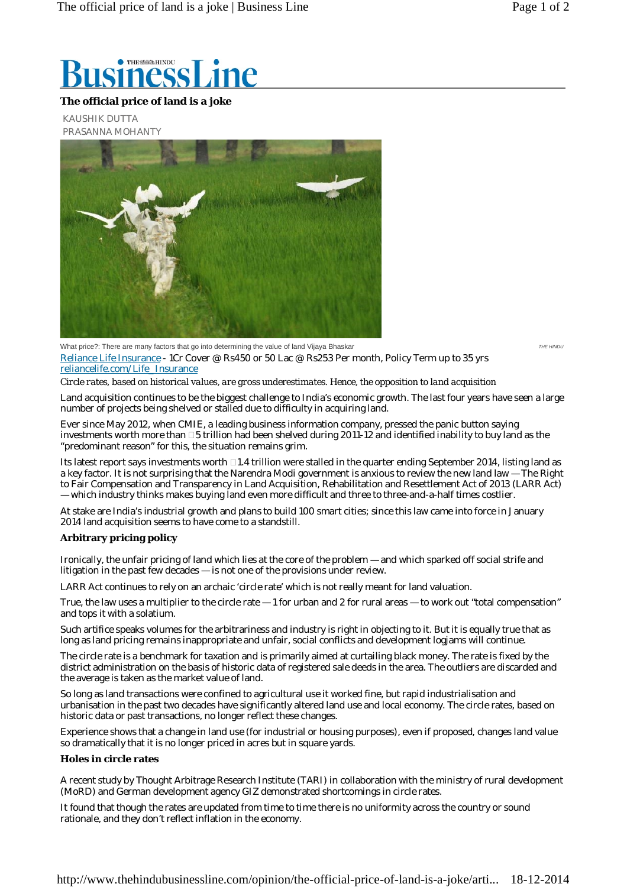

## **The official price of land is a joke**

KAUSHIK DUTTA PRASANNA MOHANTY



*THE HINDU*

What price?: There are many factors that go into determining the value of land Vijaya Bhaskar Reliance Life Insurance - 1Cr Cover @ Rs450 or 50 Lac @ Rs253 Per month, Policy Term up to 35 yrs reliancelife.com/Life\_Insurance

*Circle rates, based on historical values, are gross underestimates. Hence, the opposition to land acquisition*

Land acquisition continues to be the biggest challenge to India's economic growth. The last four years have seen a large number of projects being shelved or stalled due to difficulty in acquiring land.

Ever since May 2012, when CMIE, a leading business information company, pressed the panic button saying investments worth more than  $\Box 5$  trillion had been shelved during 2011-12 and identified inability to buy land as the "predominant reason" for this, the situation remains grim.

Its latest report says investments worth  $\Box 1.4$  trillion were stalled in the quarter ending September 2014, listing land as a key factor. It is not surprising that the Narendra Modi government is anxious to review the new land law — The Right to Fair Compensation and Transparency in Land Acquisition, Rehabilitation and Resettlement Act of 2013 (LARR Act) — which industry thinks makes buying land even more difficult and three to three-and-a-half times costlier.

At stake are India's industrial growth and plans to build 100 smart cities; since this law came into force in January 2014 land acquisition seems to have come to a standstill.

## **Arbitrary pricing policy**

Ironically, the unfair pricing of land which lies at the core of the problem — and which sparked off social strife and litigation in the past few decades — is not one of the provisions under review.

LARR Act continues to rely on an archaic 'circle rate' which is not really meant for land valuation.

True, the law uses a multiplier to the circle rate  $-1$  for urban and 2 for rural areas  $-$  to work out "total compensation" and tops it with a solatium.

Such artifice speaks volumes for the arbitrariness and industry is right in objecting to it. But it is equally true that as long as land pricing remains inappropriate and unfair, social conflicts and development logjams will continue.

The circle rate is a benchmark for taxation and is primarily aimed at curtailing black money. The rate is fixed by the district administration on the basis of historic data of registered sale deeds in the area. The outliers are discarded and the average is taken as the market value of land.

So long as land transactions were confined to agricultural use it worked fine, but rapid industrialisation and urbanisation in the past two decades have significantly altered land use and local economy. The circle rates, based on historic data or past transactions, no longer reflect these changes.

Experience shows that a change in land use (for industrial or housing purposes), even if proposed, changes land value so dramatically that it is no longer priced in acres but in square yards.

## **Holes in circle rates**

A recent study by Thought Arbitrage Research Institute (TARI) in collaboration with the ministry of rural development (MoRD) and German development agency GIZ demonstrated shortcomings in circle rates.

It found that though the rates are updated from time to time there is no uniformity across the country or sound rationale, and they don't reflect inflation in the economy.